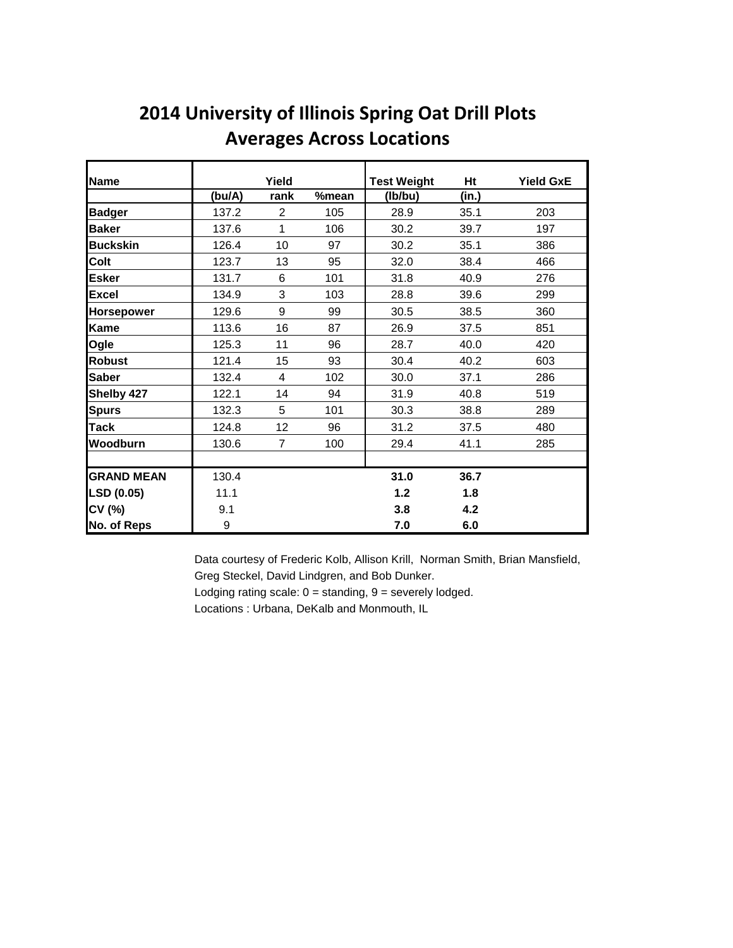| <b>Name</b>       |        | Yield          |       | <b>Test Weight</b> | Ht    | <b>Yield GxE</b> |
|-------------------|--------|----------------|-------|--------------------|-------|------------------|
|                   | (bu/A) | rank           | %mean | (lb/bu)            | (in.) |                  |
| <b>Badger</b>     | 137.2  | 2              | 105   | 28.9               | 35.1  | 203              |
| <b>Baker</b>      | 137.6  | 1              | 106   | 30.2               | 39.7  | 197              |
| <b>Buckskin</b>   | 126.4  | 10             | 97    | 30.2               | 35.1  | 386              |
| Colt              | 123.7  | 13             | 95    | 32.0               | 38.4  | 466              |
| <b>Esker</b>      | 131.7  | 6              | 101   | 31.8               | 40.9  | 276              |
| <b>Excel</b>      | 134.9  | 3              | 103   | 28.8               | 39.6  | 299              |
| <b>Horsepower</b> | 129.6  | 9              | 99    | 30.5               | 38.5  | 360              |
| <b>Kame</b>       | 113.6  | 16             | 87    | 26.9               | 37.5  | 851              |
| Ogle              | 125.3  | 11             | 96    | 28.7               | 40.0  | 420              |
| <b>Robust</b>     | 121.4  | 15             | 93    | 30.4               | 40.2  | 603              |
| <b>Saber</b>      | 132.4  | 4              | 102   | 30.0               | 37.1  | 286              |
| Shelby 427        | 122.1  | 14             | 94    | 31.9               | 40.8  | 519              |
| <b>Spurs</b>      | 132.3  | 5              | 101   | 30.3               | 38.8  | 289              |
| <b>Tack</b>       | 124.8  | 12             | 96    | 31.2               | 37.5  | 480              |
| Woodburn          | 130.6  | $\overline{7}$ | 100   | 29.4               | 41.1  | 285              |
|                   |        |                |       |                    |       |                  |
| <b>GRAND MEAN</b> | 130.4  |                |       | 31.0               | 36.7  |                  |
| LSD (0.05)        | 11.1   |                |       | 1.2                | 1.8   |                  |
| CV (%)            | 9.1    |                |       | 3.8                | 4.2   |                  |
| No. of Reps       | 9      |                |       | 7.0                | 6.0   |                  |

## **2014 University of Illinois Spring Oat Drill Plots Averages Across Locations**

Data courtesy of Frederic Kolb, Allison Krill, Norman Smith, Brian Mansfield, Greg Steckel, David Lindgren, and Bob Dunker.

Lodging rating scale:  $0 =$  standing,  $9 =$  severely lodged.

Locations : Urbana, DeKalb and Monmouth, IL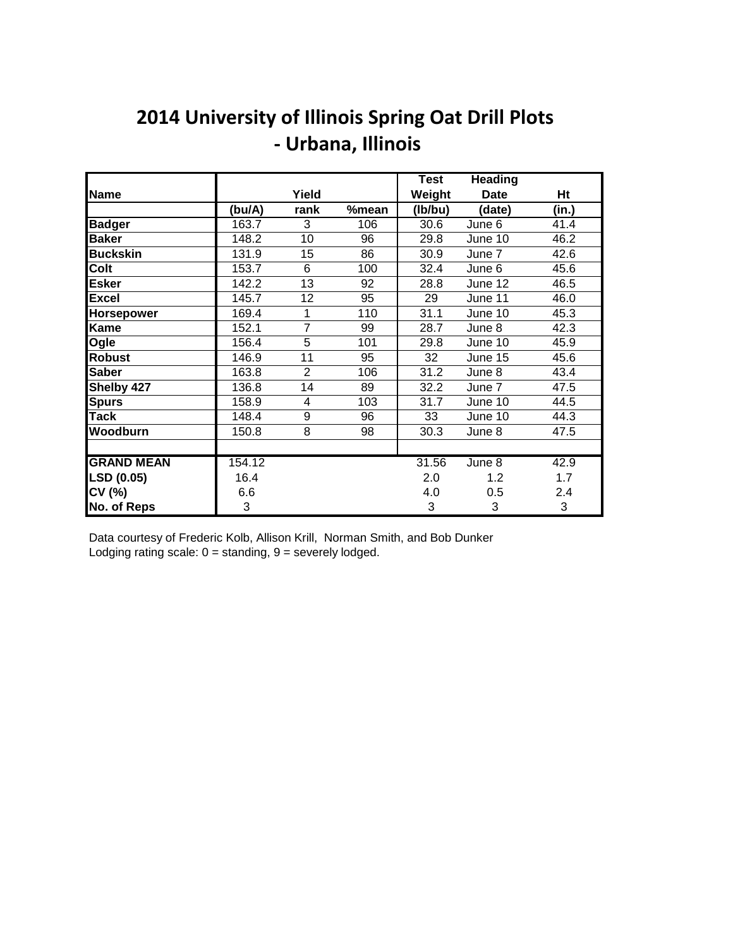## **2014 University of Illinois Spring Oat Drill Plots - Urbana, Illinois**

|                   |        |                |       | <b>Test</b> | <b>Heading</b> |       |
|-------------------|--------|----------------|-------|-------------|----------------|-------|
| Name              |        | Yield          |       | Weight      | <b>Date</b>    | Ht    |
|                   | (bu/A) | rank           | %mean | (Ib/bu)     | (date)         | (in.) |
| <b>Badger</b>     | 163.7  | 3              | 106   | 30.6        | June 6         | 41.4  |
| <b>Baker</b>      | 148.2  | 10             | 96    | 29.8        | June 10        | 46.2  |
| <b>Buckskin</b>   | 131.9  | 15             | 86    | 30.9        | June 7         | 42.6  |
| Colt              | 153.7  | 6              | 100   | 32.4        | June 6         | 45.6  |
| <b>Esker</b>      | 142.2  | 13             | 92    | 28.8        | June 12        | 46.5  |
| <b>Excel</b>      | 145.7  | 12             | 95    | 29          | June 11        | 46.0  |
| Horsepower        | 169.4  | 1              | 110   | 31.1        | June 10        | 45.3  |
| Kame              | 152.1  | $\overline{7}$ | 99    | 28.7        | June 8         | 42.3  |
| Ogle              | 156.4  | 5              | 101   | 29.8        | June 10        | 45.9  |
| <b>Robust</b>     | 146.9  | 11             | 95    | 32          | June 15        | 45.6  |
| <b>Saber</b>      | 163.8  | $\overline{2}$ | 106   | 31.2        | June 8         | 43.4  |
| Shelby 427        | 136.8  | 14             | 89    | 32.2        | June 7         | 47.5  |
| <b>Spurs</b>      | 158.9  | 4              | 103   | 31.7        | June 10        | 44.5  |
| Tack              | 148.4  | 9              | 96    | 33          | June 10        | 44.3  |
| Woodburn          | 150.8  | 8              | 98    | 30.3        | June 8         | 47.5  |
|                   |        |                |       |             |                |       |
| <b>GRAND MEAN</b> | 154.12 |                |       | 31.56       | June 8         | 42.9  |
| LSD (0.05)        | 16.4   |                |       | 2.0         | 1.2            | 1.7   |
| CV (%)            | 6.6    |                |       | 4.0         | 0.5            | 2.4   |
| No. of Reps       | 3      |                |       | 3           | 3              | 3     |

Data courtesy of Frederic Kolb, Allison Krill, Norman Smith, and Bob Dunker Lodging rating scale:  $0 =$  standing,  $9 =$  severely lodged.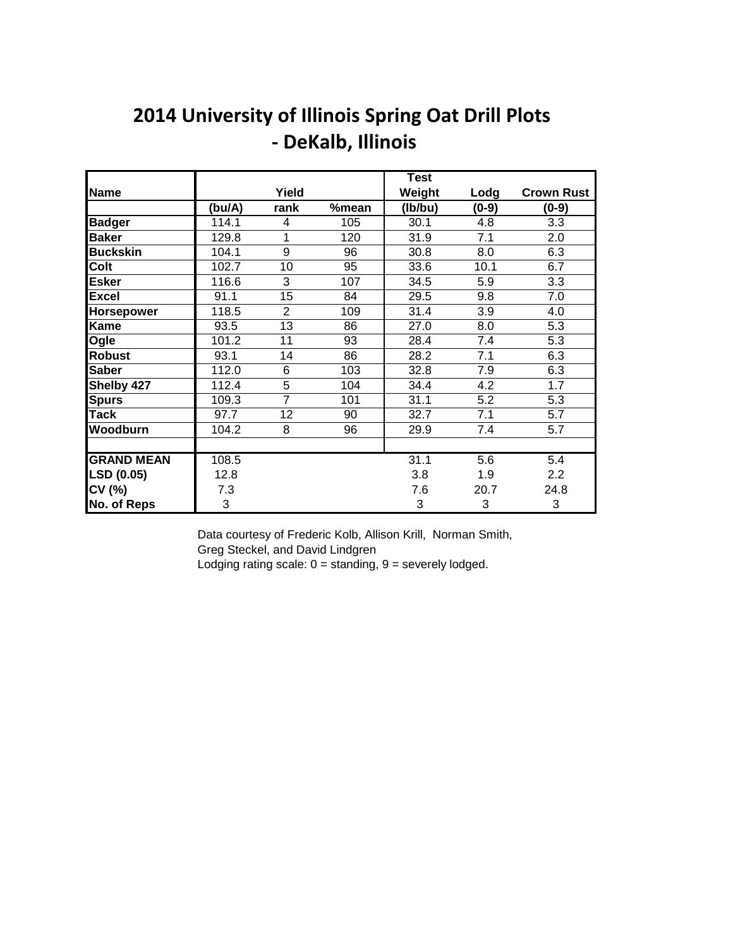## **2014 University of Illinois Spring Oat Drill Plots - DeKalb, Illinois**

|                   |        |                |       | <b>Test</b> |         |                   |
|-------------------|--------|----------------|-------|-------------|---------|-------------------|
| Name              |        | Yield          |       | Weight      | Lodg    | <b>Crown Rust</b> |
|                   | (bu/A) | rank           | %mean | (Ib/bu)     | $(0-9)$ | $(0-9)$           |
| <b>Badger</b>     | 114.1  | 4              | 105   | 30.1        | 4.8     | 3.3               |
| <b>Baker</b>      | 129.8  | 1              | 120   | 31.9        | 7.1     | 2.0               |
| <b>Buckskin</b>   | 104.1  | 9              | 96    | 30.8        | 8.0     | 6.3               |
| Colt              | 102.7  | 10             | 95    | 33.6        | 10.1    | 6.7               |
| <b>Esker</b>      | 116.6  | 3              | 107   | 34.5        | 5.9     | 3.3               |
| <b>Excel</b>      | 91.1   | 15             | 84    | 29.5        | 9.8     | 7.0               |
| <b>Horsepower</b> | 118.5  | $\overline{2}$ | 109   | 31.4        | 3.9     | 4.0               |
| <b>Kame</b>       | 93.5   | 13             | 86    | 27.0        | 8.0     | 5.3               |
| Ogle              | 101.2  | 11             | 93    | 28.4        | 7.4     | 5.3               |
| <b>Robust</b>     | 93.1   | 14             | 86    | 28.2        | 7.1     | 6.3               |
| <b>Saber</b>      | 112.0  | 6              | 103   | 32.8        | 7.9     | 6.3               |
| Shelby 427        | 112.4  | 5              | 104   | 34.4        | 4.2     | 1.7               |
| <b>Spurs</b>      | 109.3  | 7              | 101   | 31.1        | 5.2     | 5.3               |
| <b>Tack</b>       | 97.7   | 12             | 90    | 32.7        | 7.1     | 5.7               |
| <b>Woodburn</b>   | 104.2  | 8              | 96    | 29.9        | 7.4     | 5.7               |
|                   |        |                |       |             |         |                   |
| <b>GRAND MEAN</b> | 108.5  |                |       | 31.1        | 5.6     | $\overline{5.4}$  |
| LSD (0.05)        | 12.8   |                |       | 3.8         | 1.9     | $2.2\phantom{0}$  |
| CV (%)            | 7.3    |                |       | 7.6         | 20.7    | 24.8              |
| No. of Reps       | 3      |                |       | 3           | 3       | 3                 |

Data courtesy of Frederic Kolb, Allison Krill, Norman Smith,

Greg Steckel, and David Lindgren

Lodging rating scale:  $0 =$  standing,  $9 =$  severely lodged.